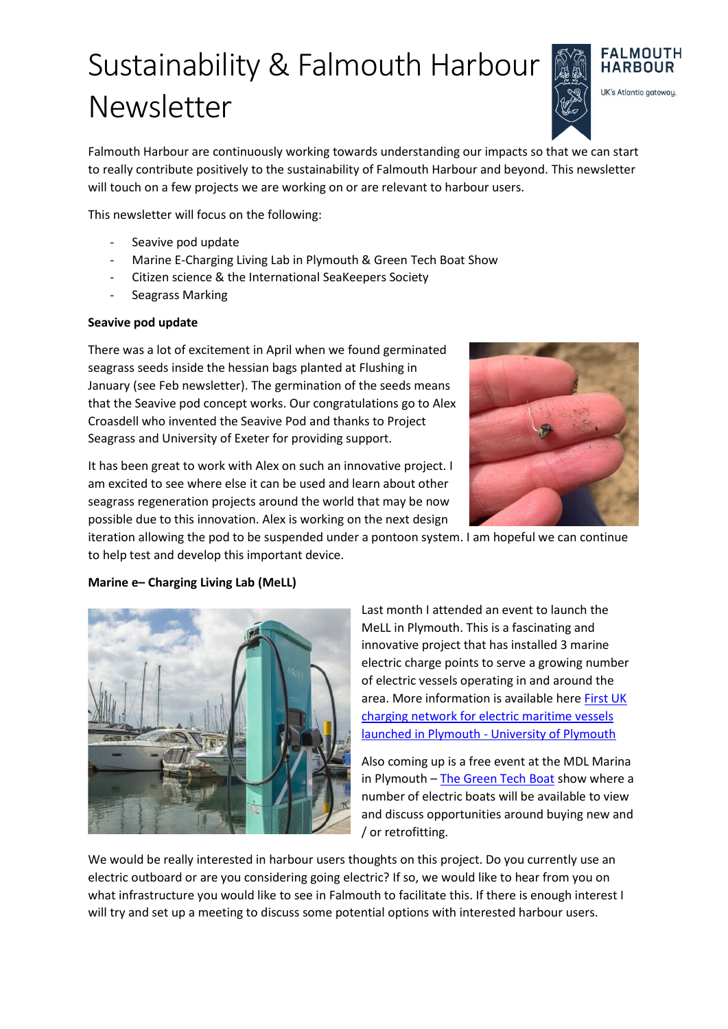# Sustainability & Falmouth Harbour Newsletter

**FALMOUTH HARBOUR** UK's Atlantic gateway.

Falmouth Harbour are continuously working towards understanding our impacts so that we can start to really contribute positively to the sustainability of Falmouth Harbour and beyond. This newsletter will touch on a few projects we are working on or are relevant to harbour users.

This newsletter will focus on the following:

- Seavive pod update
- Marine E-Charging Living Lab in Plymouth & Green Tech Boat Show
- Citizen science & the International SeaKeepers Society
- Seagrass Marking

#### **Seavive pod update**

There was a lot of excitement in April when we found germinated seagrass seeds inside the hessian bags planted at Flushing in January (see Feb newsletter). The germination of the seeds means that the Seavive pod concept works. Our congratulations go to Alex Croasdell who invented the Seavive Pod and thanks to Project Seagrass and University of Exeter for providing support.



It has been great to work with Alex on such an innovative project. I am excited to see where else it can be used and learn about other seagrass regeneration projects around the world that may be now possible due to this innovation. Alex is working on the next design

iteration allowing the pod to be suspended under a pontoon system. I am hopeful we can continue to help test and develop this important device.

#### **Marine e– Charging Living Lab (MeLL)**



Last month I attended an event to launch the MeLL in Plymouth. This is a fascinating and innovative project that has installed 3 marine electric charge points to serve a growing number of electric vessels operating in and around the area. More information is available here [First UK](https://www.plymouth.ac.uk/news/first-uk-charging-network-for-electric-maritime-vessels-launched-in-plymouth)  [charging network for electric maritime vessels](https://www.plymouth.ac.uk/news/first-uk-charging-network-for-electric-maritime-vessels-launched-in-plymouth)  [launched in Plymouth -](https://www.plymouth.ac.uk/news/first-uk-charging-network-for-electric-maritime-vessels-launched-in-plymouth) University of Plymouth

Also coming up is a free event at the MDL Marina in Plymouth – [The Green Tech Boat](https://www.mdlmarinas.co.uk/events/green-tech-boat-show/) show where a number of electric boats will be available to view and discuss opportunities around buying new and / or retrofitting.

We would be really interested in harbour users thoughts on this project. Do you currently use an electric outboard or are you considering going electric? If so, we would like to hear from you on what infrastructure you would like to see in Falmouth to facilitate this. If there is enough interest I will try and set up a meeting to discuss some potential options with interested harbour users.